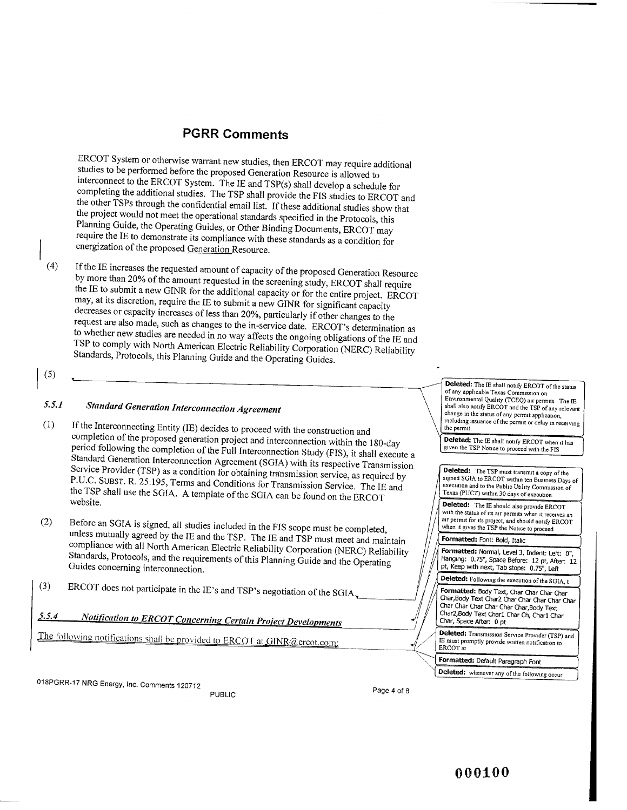ERCOT System or otherwise warrant new studies, then ERCOT may require additional studies to be performed before the proposed Generation Resource is allowed to interconnect to the ERCOT System. The IE and TSP(s) shall develop a schedule for completing the additional studies. The TSP shall provide the FIS studies to ERCOT and the other TSPs through the confidential email list. If these additional studies show that the project would not meet the operational standards specified in the Protocols, this Planning Guide, the Operating Guides, or Other Binding Documents, ERCOT may require the IE to demonstrate its compliance with these standards as a condition for energization of the proposed Generation Resource.

(4) If the IE increases the requested amount of capacity of the proposed Generation Resource by more than 20% of the amount requested in the screening study, ERCOT shall require the IE to submit a new GINR for the additional capacity or for the entire project. ERCOT may, at its discretion, require the IE to submit a new GINR for significant capacity decreases or capacity increases of less than 20%, particularly if other changes to the request are also made, such as changes to the in-service date. ERCOT's determination as to whether new studies are needed in no way affects the ongoing obligations of the IE and TSP to comply with North American Electric Reliability Corporation (NERC) Reliability Standards, Protocols, this Planning Guide and the Operating Guides.

 $(5)$ 

### *5.5.1 Standard Generation Interconnection Agreement*

- (1) If the Interconnecting Entity (IE) decides to proceed with the construction and completion of the proposed generation project and interconnection within the 180-day **Deleted:** The IE shall notify ERCOT when it has period following the completion of the Full Interconnection Study (FIS), it shall execute a<br>Standard Ceneration Integral Standard Generation Interconnection Agreement (SGIA) with its respective Transmission Service Provider (TSP) as a condition for obtaining transmission service, as required by  $\left\{\n\begin{array}{c}\n\text{Deleteed:}\n\\
\text{Systemed SG}\n\end{array}\n\right\}$ P.U.C. SUBST. R. 25.195, Terms and Conditions for Transmission Service. The IE and the TSP shall use the SGIA. A template of the SGIA can be found on the ERCOT  $\left\{ \frac{\text{Texas (PUCT) within 30 days of execution}}{\text{if } 1 \text{ years}} \right\}$  $\sqrt{\frac{1}{\text{Peleted: The Is would also provide ERCO1}}}$
- (2) Before an SGIA is signed, all studies included in the FIS scope must be completed , unless mutually agreed by the IE and the TSP. The IE and TSP must meet and maintain  $\sqrt{\frac{\text{Formatted: Font: Bold, Italic}}{\text{Formatted: Cont: Bold, Italic}}}}$ compliance with all North American Electric Reliability Corporation (NERC) Reliability Standards, Protocols, and the requirements of this Planning Guide and the Operating Guides concerning interconnection.
- $\sqrt{(3)}$  ERCOT does not participate in the IE's and TSP's negotiation of the SGIA  $\sqrt{(7.5 \text{ Formatted: Body Text, Char Char Char Char-} \cdot \text{Char} \cdot \text{Char} \cdot \text{Char} \cdot \text{Char} \cdot \text{Char} \cdot \text{Char} \cdot \text{Char} \cdot \text{Char} \cdot \text{Char} \cdot \text{Char} \cdot \text{Char} \cdot \text{Char} \cdot \text{Char} \cdot \text{Char} \cdot \text{Char} \cdot \text{Char} \cdot \text{$
- *5.5•4 Notification to ERCOT Concerning Certain Proiect Developments*

The following notifications shall be provided to ERCOT at GINR@ercot.com;

**(5) Deleted:** The IE shall notify ERCOT of the status of any applicable Texas Commission on Environmental Quality (TCEQ) air permits The IE shall also notify ERCOT and the TSP of any relevant change in the status of any permit application, including issuance of the permit or delay in receiving the permit

given the TSP Notice to proceed with the FIS

Deleted: The TSP must transmit a copy of the signed SGIA to ERCOT within ten Business Days of execution and to the Public Utility Commission of<br>Texas (PUCT) within 30 days of execution.

with the status of its air permits when it receives an air permit for its project, and should notify ERCOT when it gives the TSP the Notice to proceed

**Formatted:** Normal, Level 3, Indent: Left: 0", Hanging: 0.75", Space Before: 12 pt, After: 12 pt, Keep with next, Tab stops: 0.75", Left

**Deleted: Following** the execution of the SGIA, t

Char,BOdy Text Char2 Char Char Char Char Char harChar Char Char Char,Body Text Char2,Body Text Char1 Char Ch, Char1 Char Char, Space After: 0 pt Char C<br>Char C<br>Char C<br>Char C<br>Char C<br>E E must<br>ERCOT<br>Correna Delete

Deleted: Transmission Service Provider (TSP) and IE must promptly provide written notification to ERCOT at

**Formatted: Default Paragraph Font** 

**Deleted:** whenever any of the following occur

018PGRR-17 NRG Energy, Inc. Comments 120712

PUBLIC PUBLIC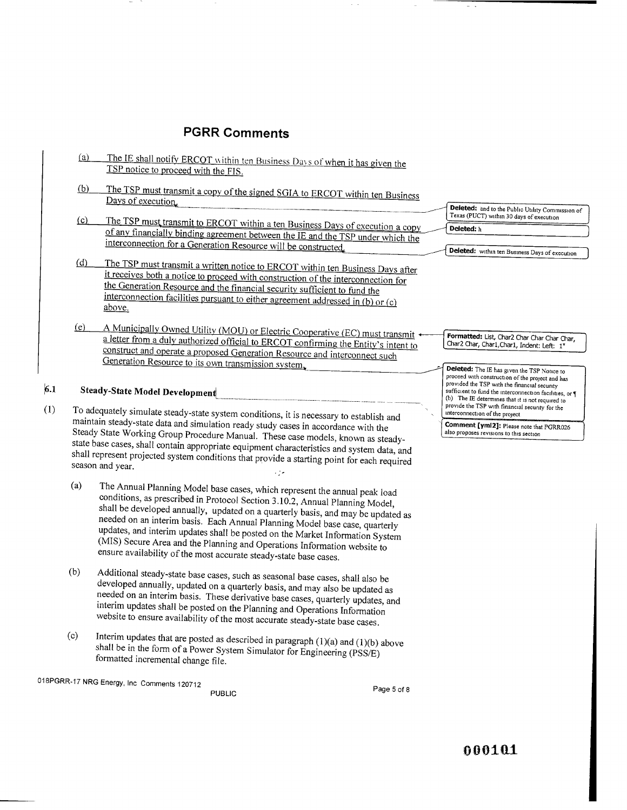|            | (a) | The IE shall notify ERCOT within ten Business Days of when it has given the<br>TSP notice to proceed with the FIS.                                                                                                                                                                                                                                                                                                                                                                                                                                              |                                                                                                                                                                                                                                                                  |
|------------|-----|-----------------------------------------------------------------------------------------------------------------------------------------------------------------------------------------------------------------------------------------------------------------------------------------------------------------------------------------------------------------------------------------------------------------------------------------------------------------------------------------------------------------------------------------------------------------|------------------------------------------------------------------------------------------------------------------------------------------------------------------------------------------------------------------------------------------------------------------|
|            | (b) | The TSP must transmit a copy of the signed SGIA to ERCOT within ten Business<br>Days of execution.                                                                                                                                                                                                                                                                                                                                                                                                                                                              |                                                                                                                                                                                                                                                                  |
|            | (c) | The TSP must transmit to ERCOT within a ten Business Days of execution a copy<br>of any financially binding agreement between the IE and the TSP under which the<br>interconnection for a Generation Resource will be constructed.                                                                                                                                                                                                                                                                                                                              | Deleted: and to the Public Utility Commission o<br>Texas (PUCT) within 30 days of execution<br>Deleted: h                                                                                                                                                        |
|            | (d) | The TSP must transmit a written notice to ERCOT within ten Business Days after<br>it receives both a notice to proceed with construction of the interconnection for<br>the Generation Resource and the financial security sufficient to fund the<br>interconnection facilities pursuant to either agreement addressed in (b) or (c)<br>above.                                                                                                                                                                                                                   | Deleted: within ten Business Days of execution                                                                                                                                                                                                                   |
|            | (e) | A Municipally Owned Utility (MOU) or Electric Cooperative (EC) must transmit +<br>a letter from a duly authorized official to ERCOT confirming the Entity's intent to<br>construct and operate a proposed Generation Resource and interconnect such<br>Generation Resource to its own transmission system.                                                                                                                                                                                                                                                      | Formatted: List, Char2 Char Char Char Char,<br>Char2 Char, Char1, Char1, Indent: Left: 1"<br>Deleted: The IE has given the TSP Notice to                                                                                                                         |
| 6.1<br>(1) |     | <b>Steady-State Model Development</b>                                                                                                                                                                                                                                                                                                                                                                                                                                                                                                                           | proceed with construction of the project and has<br>provided the TSP with the financial security<br>sufficient to fund the interconnection facilities, or<br>(b) The IE determines that it is not required to<br>provide the TSP with financial security for the |
|            |     | To adequately simulate steady-state system conditions, it is necessary to establish and<br>maintain steady-state data and simulation ready study cases in accordance with the<br>Steady State Working Group Procedure Manual. These case models, known as steady-<br>state base cases, shall contain appropriate equipment characteristics and system data, and<br>shall represent projected system conditions that provide a starting point for each required<br>season and year.<br>۰. -                                                                      | interconnection of the project.<br>Comment [yml2]: Please note that PGRR026<br>also proposes revisions to this section                                                                                                                                           |
|            | (a) | The Annual Planning Model base cases, which represent the annual peak load<br>conditions, as prescribed in Protocol Section 3.10.2, Annual Planning Model,<br>shall be developed annually, updated on a quarterly basis, and may be updated as<br>needed on an interim basis. Each Annual Planning Model base case, quarterly<br>updates, and interim updates shall be posted on the Market Information System<br>(MIS) Secure Area and the Planning and Operations Information website to<br>ensure availability of the most accurate steady-state base cases. |                                                                                                                                                                                                                                                                  |
|            | /ጉ) | $Addition of each 1, 1, 1$                                                                                                                                                                                                                                                                                                                                                                                                                                                                                                                                      |                                                                                                                                                                                                                                                                  |

- (b) Additional steady-state base cases, such as seasonal base cases, shall also be developed annually, updated on a quarterly basis, and may also be updated as needed on an interim basis. These derivative base cases, quarterly updates, and interim updates shall be posted on the Planning and Operations Information website to ensure availability of the most accurate steady-state base cases.
- (c) Interim updates that are posted as described in paragraph (1)(a) and (1)(b) above shall be in the form of a Power System Simulator for Engineering (PSS/E) formatted incremental change file.

018PGRR-17 NRG Energy, Inc Comments 120712

PUBLIC PUBLIC PAGE 2012

and to the Public Utility Commission of T) within 30 days of execution

 $\sim$   $\sim$ 

000101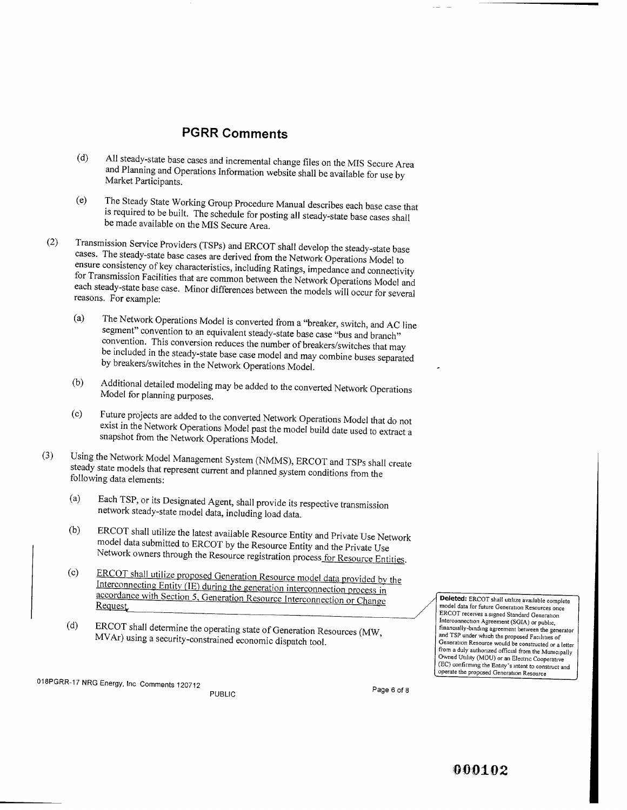- (d) All steady-state base cases and incremental change files on the MIS Secure Area and Planning and Operations Information website shall be available for use by Market Participants.
- (e) The Steady State Working Group Procedure Manual describes each base case that is required to be built. The schedule for posting all steady-state base cases shall be made available on the MIS Secure Area.
- (2) Transmission Service Providers (TSPs) and ERCOT shall develop the steady-state base cases. The steady-state base cases are derived from the Network Operations Model to ensure consistency of key characteristics, including Ratings, impedance and connectivity for Transmission Facilities that are common between the Network Operations Model and each steady-state base case. Minor differences between the models will occur for several reasons. For example:
	- (a) The Network Operations Model is converted from a "breaker, switch, and AC line segment" convention to an equivalent steady-state base case "bus and branch" convention. This conversion reduces the number of breakers/switches that may be included in the steady-state base case model and may combine buses separated by breakers/switches in the Network Operations Model.
	- (b) Additional detailed modeling may be added to the converted Network Operations Model for planning purposes.
	- (c) Future projects are added to the converted Network Operations Model that do not exist in the Network Operations Model past the model build date used to extract a snapshot from the Network Operations Model.
- (3) Using the Network Model Management System (NMMS), ERCOT and TSPs shall create steady state models that represent current and planned system conditions from the following data elements:
	- (a) Each TSP, or its Designated Agent, shall provide its respective transmission network steady-state model data, including load data.
	- (b) ERCOT shall utilize the latest available Resource Entity and Private Use Network model data submitted to ERCOT by the Resource Entity and the Private Use Network owners through the Resource registration process for Resource Entities.
	- (c) ERCOT shall utilize proposed Generation Resource model data provided by the Interconnecting Entity (IE) during the generation interconnection process in accordance with Section 5, Generation Resource Interconnection or Change Request
	- (d) ERCOT shall **determine the operating state of Generation** Resources (MW, MVAr) using **a security-constrained economic dispatch tool.**

Deleted: ERCOT shall utilize available complete model data for future Generation Resources once ERCOT receives a signed Standard Generation Interconnection Agreement (SGIA) or public, financially-bmdmg agreement between the generator and TSP under which the proposed Facilities of Generation Resource would be constructed or a letter from a duly authorized official from the Municipally Owned Utility (MOU) or an Electric Cooperative (EC) confirming the Entity's intent to constiuct and operate the proposed Generation Resource

**018PGRR-17 NRG Energy, Inc Comments 120712**

**Page 6 of 8 PUBLIC**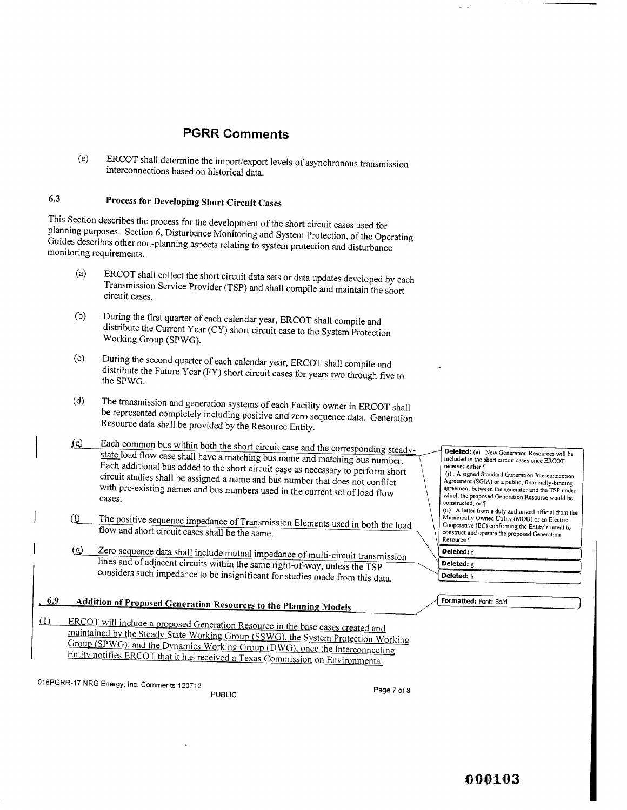(e) ERCOT shall **determine the import/export levels of asynchronous transmission interconnections based on historical data.**

## 6.3 Process for Developing Short Circuit Cases

This Section describes the process for the development of the short circuit cases used for planning purposes. Section 6, Disturbance Monitoring and System Protection, of the Operating Guides describes other non-planning aspects relating to system protection and disturbance monitoring requirements.

- (a) ERCOT shall collect the short circuit data sets or data updates developed by each Transmission Service Provider (TSP) and shall compile and maintain the short circuit cases.
- (b) During the first quarter of each calendar year, ERCOT shall compile and distribute the Current Year (CY) short circuit case to the System Protection Working Group (SPWG).
- (c) During the second quarter of each calendar year, ERCOT shall compile and distribute the Future Year (FY) short circuit cases for years two through five to the SPWG.
- (d) The transmission and generation systems of each Facility owner in ERCOT shall be represented completely including positive and zero sequence data. Generation Resource data shall be provided by the Resource Entity.
- Each common bus within both the short circuit case and the corresponding steady- $\left( \underline{e} \right)$ state load flow case shall have a matching bus name and matching bus number. Each additional bus added to the short circuit case as necessary to perform short circuit studies shall be assigned a name and bus number that does not conflict with pre-existing names and bus numbers used in the current set of load flow cases.
- $\bigcirc$ The positive sequence impedance of Transmission Elements used in both the load flow and short circuit cases shall be the same.
- Zero sequence data shall include mutual impedance of multi-circuit transmission  $\circ$ lines and of adjacent circuits within the same right-of-way, unless the TSP considers such impedance to be insignificant for studies made from this data.

# , 6.9 Addition of Proposed **Generation Resources to the Planning** Models

LIl ERCOT will include a proposed Generation Resource in the base cases created and maintained by the Steady State Working Group (SSWG) the System Protection Working Group (SPWG), and the Dynamics Working Group (DWG), once the Interconnecting Entity notifies ERCOT that it has received a Texas Commission on Environmental

018PGRR-17 NRG Energy, Inc. Comments 120712

PUBLIC PUBLIC

**Deleted:** (e) New Generation Resources will be included in the short circuit cases once ERCOT receives either  $\P$ (i) - A signed Standard Generation Interconnection Agreement (SGIA) or a public, financially-binding agreement between the generator and the TSP under which the proposed Generation Resource would be constructed, or ¶ (u) A letter from a duly authorized official from the Municipally Owned Utility (MOU) or an Electric Cooperative (EC) confirming the Entity's intent to construct and operate the proposed Generation Resource ¶ **Deleted: f Deleted: g**

**Deleted: h**

/

**Formatted:** Font: Bold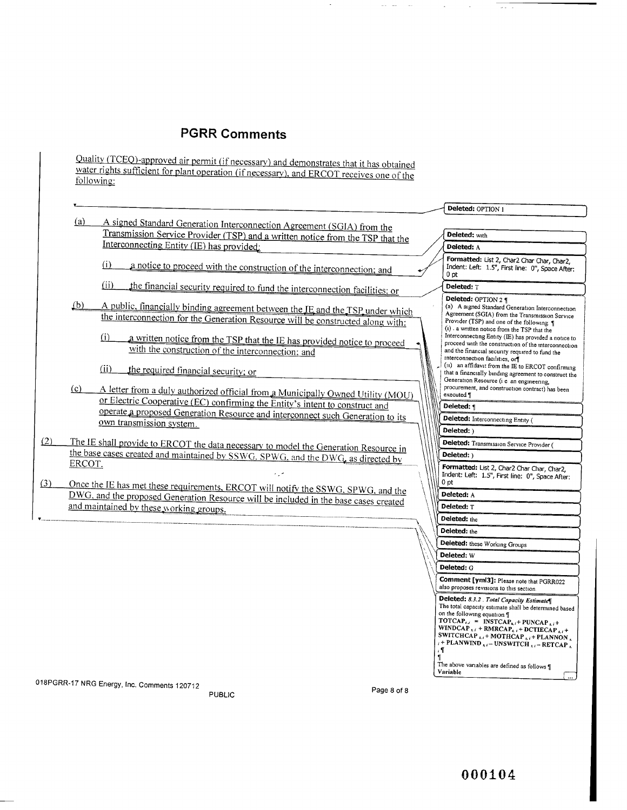Quality (TCEQ)-approved air permit (if necessary) and demonstrates that it has obtained water rights sufficient for plant operation (if necessary), and ERCOT receives one of the followme:

|     |                                                                                                                                                                 |                         | Deleted: OPTION 1                                                                                                   |
|-----|-----------------------------------------------------------------------------------------------------------------------------------------------------------------|-------------------------|---------------------------------------------------------------------------------------------------------------------|
|     | (a)<br>A signed Standard Generation Interconnection Agreement (SGIA) from the                                                                                   |                         |                                                                                                                     |
|     | Transmission Service Provider (TSP) and a written notice from the TSP that the                                                                                  |                         | Deleted: with                                                                                                       |
|     | Interconnecting Entity (IE) has provided:                                                                                                                       |                         | Deleted: A                                                                                                          |
|     |                                                                                                                                                                 |                         | Formatted: List 2, Char2 Char Char, Char2,                                                                          |
|     | (i)<br>a notice to proceed with the construction of the interconnection; and                                                                                    |                         | Indent: Left: 1.5", First line: 0", Space After:<br>0 pt                                                            |
|     | (ii)                                                                                                                                                            |                         | <b>Deleted: T</b>                                                                                                   |
|     | the financial security required to fund the interconnection facilities; or                                                                                      |                         |                                                                                                                     |
|     | (b)<br>A public, financially binding agreement between the IE and the TSP under which                                                                           |                         | Deleted: OPTION 2 ¶<br>(a) A signed Standard Generation Interconnection                                             |
|     | the interconnection for the Generation Resource will be constructed along with:                                                                                 |                         | Agreement (SGIA) from the Transmission Service<br>Provider (TSP) and one of the following: 1                        |
|     |                                                                                                                                                                 |                         | (i) a written notice from the TSP that the                                                                          |
|     | (i)<br>a written notice from the TSP that the IE has provided notice to proceed                                                                                 |                         | Interconnecting Entity (IE) has provided a notice to<br>proceed with the construction of the interconnection        |
|     | with the construction of the interconnection; and                                                                                                               |                         | and the financial security required to fund the                                                                     |
|     |                                                                                                                                                                 |                         | interconnection facilities, or<br>(11) an affidavit from the IE to ERCOT confirming                                 |
|     | (ii)<br>the required financial security; or                                                                                                                     |                         | that a financially binding agreement to construct the                                                               |
|     | (c)                                                                                                                                                             |                         | Generation Resource (i e an engineering,<br>procurement, and construction contract) has been                        |
|     | A letter from a duly authorized official from a Municipally Owned Utility (MOU)<br>or Electric Cooperative (EC) confirming the Entity's intent to construct and |                         | executed.                                                                                                           |
|     | operate a proposed Generation Resource and interconnect such Generation to its                                                                                  |                         | Deleted: 1                                                                                                          |
|     | own transmission system.                                                                                                                                        |                         | Deleted: Interconnecting Entity (                                                                                   |
|     |                                                                                                                                                                 |                         | Deleted: )                                                                                                          |
| (2) | The IE shall provide to ERCOT the data necessary to model the Generation Resource in                                                                            |                         | Deleted: Transmission Service Provider (                                                                            |
|     | the base cases created and maintained by SSWG. SPWG, and the DWG, as directed by                                                                                |                         | Deleted: )                                                                                                          |
|     | ERCOT.                                                                                                                                                          |                         | Formatted: List 2, Char2 Char Char, Char2,                                                                          |
| (3) |                                                                                                                                                                 |                         | Indent: Left: 1.5", First line: 0", Space After:<br>0 pt                                                            |
|     | Once the IE has met these requirements, ERCOT will notify the SSWG, SPWG, and the                                                                               |                         | Deleted: A                                                                                                          |
|     | DWG, and the proposed Generation Resource will be included in the base cases created<br>and maintained by these working groups.                                 |                         | <b>Deleted: T</b>                                                                                                   |
|     |                                                                                                                                                                 |                         | Deleted: the                                                                                                        |
|     |                                                                                                                                                                 |                         | Deleted: the                                                                                                        |
|     |                                                                                                                                                                 |                         |                                                                                                                     |
|     |                                                                                                                                                                 |                         | Deleted: these Working Groups                                                                                       |
|     |                                                                                                                                                                 |                         | Deleted: W                                                                                                          |
|     |                                                                                                                                                                 |                         | Deleted: G                                                                                                          |
|     |                                                                                                                                                                 |                         | Comment [ymi3]: Please note that PGRR022<br>also proposes revisions to this section.                                |
|     |                                                                                                                                                                 |                         | Deleted: 8.3.2 . Total Capacity Estimate                                                                            |
|     |                                                                                                                                                                 |                         | The total capacity estimate shall be determined based                                                               |
|     |                                                                                                                                                                 |                         | on the following equation 1<br>TOTCAP <sub>s,i</sub> = INSTCAP <sub>s,i</sub> + PUNCAP <sub>s,i</sub> +             |
|     |                                                                                                                                                                 |                         | WINDCAP <sub>5,i</sub> + RMRCAP <sub>5,i</sub> + DCTIECAP <sub>5,i</sub> +                                          |
|     |                                                                                                                                                                 |                         | SWITCHCAP $_{s,i}$ + MOTHCAP $_{s,i}$ + PLANNON $_s$<br>$i$ + PLANWIND $_{i,i}$ – UNSWITCH $_{i,i}$ – RETCAP $_{i}$ |
|     |                                                                                                                                                                 | $\overline{\mathbf{u}}$ | . ¶                                                                                                                 |
|     |                                                                                                                                                                 |                         | The above variables are defined as follows ¶                                                                        |
|     |                                                                                                                                                                 |                         | Variable                                                                                                            |
|     | 018PGRR-17 NRG Energy, Inc. Comments 120712<br>Page 8 of 8                                                                                                      |                         |                                                                                                                     |
|     | <b>PUBLIC</b>                                                                                                                                                   |                         |                                                                                                                     |

 $\overline{\phantom{a}}$ 

 $\omega_{\rm{eff}}$  and  $\sim$ 

 $\bar{z}$ 

 $\sim$ 

 $\omega(\omega)$  ,  $\omega$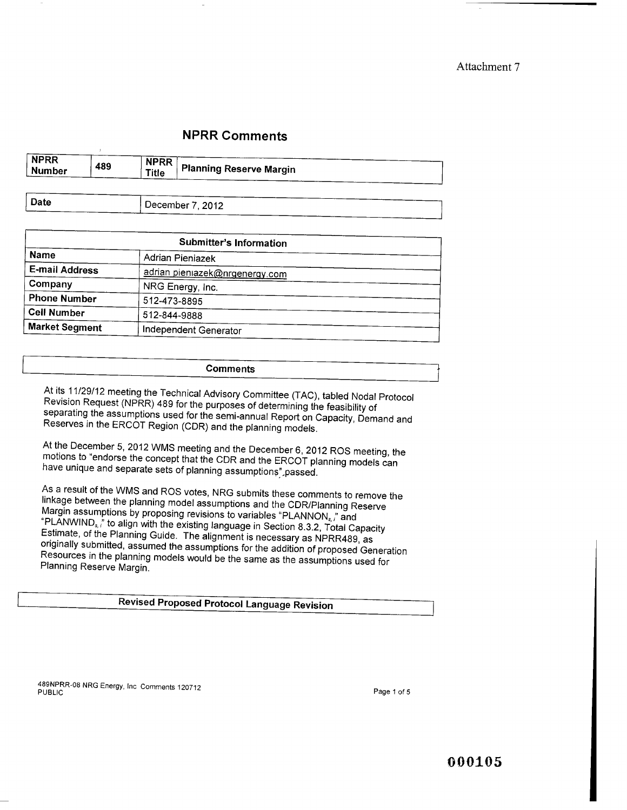Attachment 7

## NPRR Comments

| <b>NPRR</b><br><b>Number</b> | 489 | <b>NPRR</b><br>Title | <b>Planning Reserve Margin</b> |
|------------------------------|-----|----------------------|--------------------------------|
|                              |     |                      |                                |

| Date | December 7, 2012 |
|------|------------------|
|      |                  |

| Submitter's Information |                                |  |  |  |
|-------------------------|--------------------------------|--|--|--|
| <b>Name</b>             | Adrian Pieniazek               |  |  |  |
| <b>E-mail Address</b>   | adrian pieniazek@nrgenergy.com |  |  |  |
| Company                 | NRG Energy, Inc.               |  |  |  |
| <b>Phone Number</b>     | 512-473-8895                   |  |  |  |
| <b>Cell Number</b>      | 512-844-9888                   |  |  |  |
| <b>Market Segment</b>   | Independent Generator          |  |  |  |

#### **Comments**

**At its 11/29/12 meeting the Technical Advisory Committee** (TAC), **tabled Nodal Protocol Revision Request** (**NPRR) 489 for the purposes of determining the feasibility of separating the assumptions used for the semi-annual Report on Capacity, Demand and Reserves in the ERCOT Region** (**CDR) and the planning models.**

**At the December 5, 2012 WMS meeting and the December 6, 2012 ROS meeting, the motions to "endorse the concept that the CDR and** the ERCOT **planning models can have unique and separate sets of planning assumptions",passed.**

**As a result of the WMS and ROS votes, NRG submits these comments to remove the linkage between the planning model assumptions and the CDR/Planning Reserve Margin assumptions by proposing revisions to variables** "PLANNONS,," and "PLANWINDs,;" **to align with the existing language in Section 8.3.2, Total Capacity Estimate, of the Planning Guide. The alignment is necessary as NPRR489, as originally submitted, assumed the assumptions for the addition of proposed Generation Resources in the planning models would be the same as the assumptions used for Planning Reserve Margin.**

#### Revised Proposed Protocol Language Revision

489NPRR-08 NRG Energy, Inc Comments 120712 PUBLIC Page 1 of 5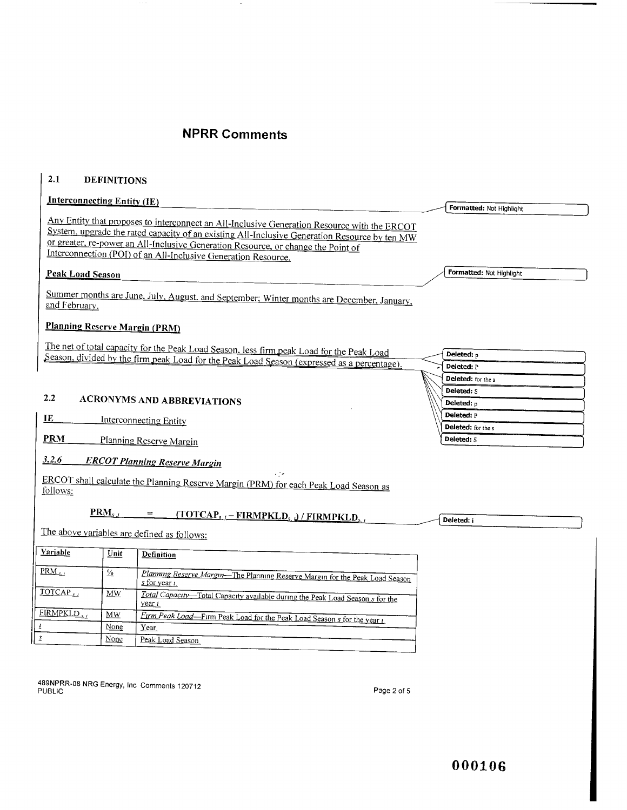$\sim$ 

#### 2.1 DEFINITIONS

 $\sim$   $\sim$   $-$ 

| <b>Interconnecting Entity (IE)</b>   |               |                                                                                                                                                                                          |                           |
|--------------------------------------|---------------|------------------------------------------------------------------------------------------------------------------------------------------------------------------------------------------|---------------------------|
|                                      |               |                                                                                                                                                                                          | Formatted: Not Highlight  |
|                                      |               | Any Entity that proposes to interconnect an All-Inclusive Generation Resource with the ERCOT                                                                                             |                           |
|                                      |               | System, upgrade the rated capacity of an existing All-Inclusive Generation Resource by ten MW                                                                                            |                           |
|                                      |               | or greater, re-power an All-Inclusive Generation Resource, or change the Point of                                                                                                        |                           |
|                                      |               | Interconnection (POI) of an All-Inclusive Generation Resource.                                                                                                                           |                           |
| <b>Peak Load Season</b>              |               |                                                                                                                                                                                          | Formatted: Not Highlight  |
| and February.                        |               | Summer months are June, July, August, and September; Winter months are December, January,                                                                                                |                           |
| <b>Planning Reserve Margin (PRM)</b> |               |                                                                                                                                                                                          |                           |
|                                      |               |                                                                                                                                                                                          |                           |
|                                      |               | The net of total capacity for the Peak Load Season, less firm peak Load for the Peak Load<br>Season, divided by the firm peak Load for the Peak Load Season (expressed as a percentage). | Deleted: p                |
|                                      |               |                                                                                                                                                                                          | Deleted: P                |
|                                      |               |                                                                                                                                                                                          | <b>Deleted:</b> for the s |
|                                      |               |                                                                                                                                                                                          | Deleted: S                |
| 2.2                                  |               | <b>ACRONYMS AND ABBREVIATIONS</b>                                                                                                                                                        | Deleted: p                |
| IE                                   |               | <b>Interconnecting Entity</b>                                                                                                                                                            | Deleted: P                |
|                                      |               |                                                                                                                                                                                          | Deleted: for the s        |
| <b>PRM</b>                           |               | Planning Reserve Margin                                                                                                                                                                  | <b>Deleted: S</b>         |
| 3.2.6                                |               | <b>ERCOT Planning Reserve Margin</b>                                                                                                                                                     |                           |
| follows:                             |               | ERCOT shall calculate the Planning Reserve Margin (PRM) for each Peak Load Season as                                                                                                     |                           |
|                                      | $PRM_{s,i}$   | $=$<br>$(TOTCAPs,i - FIRMPKLDs ) / FIRMPKLDs,t$                                                                                                                                          | Deleted: i                |
|                                      |               | The above variables are defined as follows:                                                                                                                                              |                           |
| Variable                             | Unit          | <b>Definition</b>                                                                                                                                                                        |                           |
| $\overline{PRM}_{s,i}$               | $\frac{0}{2}$ | Planning Reserve Margin-The Planning Reserve Margin for the Peak Load Season<br>s for year <i>t</i>                                                                                      |                           |
| TOTCAP,                              | <b>MW</b>     | Total Capacity-Total Capacity available during the Peak Load Season s for the<br>year i                                                                                                  |                           |
| FIRMPKLD,                            | <b>MW</b>     | Firm Peak Load-Firm Peak Load for the Peak Load Season s for the year i                                                                                                                  |                           |
| $\underline{l}$                      | None          | Year                                                                                                                                                                                     |                           |

**489NPRR-08 NRG Energy,** Inc Comments 120712 PUBLIC Page 2 of 5

s None Peak Load Season

Year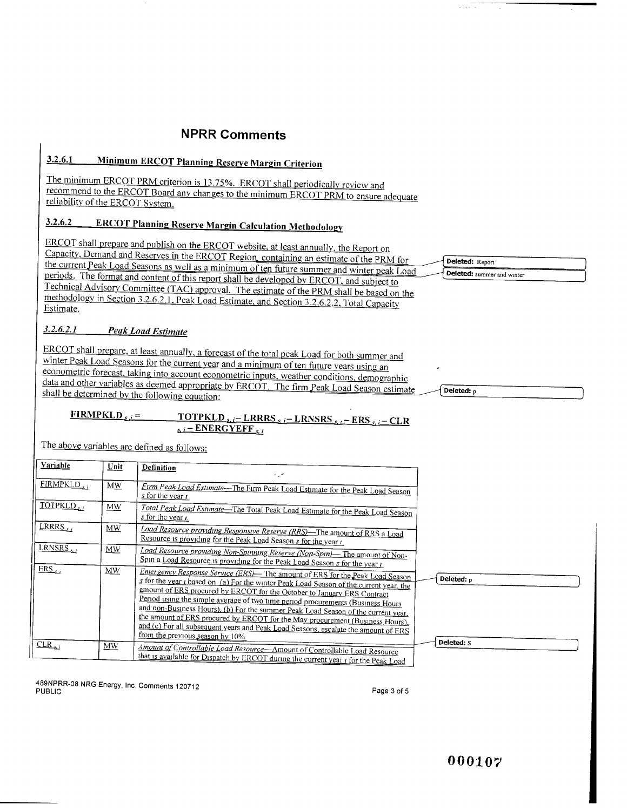## 3.2.6.1 Minimum ERCOT Planning Reserve Margin Criterion

The minimum ERCOT PRM criterion is 13.75%. ERCOT shall periodically review and recommend to the ERCOT Board any changes to the minimum ERCOT PRM to ensure adequate reliabilitv of the ERCOT System.

## 3.2.6.2 ERCOT Planning Reserve Margin Calculation Methodology

ERCOT shall **prepare and publish on** the ERCOT **website**, **at least annually** , **the Report on** Capacity. Demand and Reserves in the ERCOT Region, containing an estimate of the PRM for the current Peak Load Seasons as well as a minimum of ten future summer and winter peak Load periods. The format and content of this report shall be developed by ERCOT, and subject to Technical Advisory Committee (TAC) approval. The estimate of the PRM shall be based on the methodology in Section 3.2.6.2.1, Peak Load Estimate, and Section 3.2.6.2.2, Total Capacity Estimate.

#### *3.2. 6.2.1 Peak Load Estimate*

ERCOT shall prepare, at least annually, a forecast of the total peak Load for both summer and winter Peak Load Seasons for the current year and a minimum of ten future years using an econometric forecast, taking into account econometric inputs, weather conditions, demographic data and other variables as deemed appropriate by ERCOT. The firm Peak Load Season estimate shall be determined by the following equation:

#### $FIRMPKLD_{s,i} = \nTOTPKLD_{s,i} - LRRRS_{s,i} - LRNSRS_{s,i} - ERS_{s,i} - CLR$  $s_i$  : – ENERGYEFF<sub>Si</sub>

The above variables are defined as follows:

| Variable            | Unit      | Definition<br>المراد                                                                                                                                                                                                                                                                                                                                                                                                                                                                                                                                                                                                                            |            |
|---------------------|-----------|-------------------------------------------------------------------------------------------------------------------------------------------------------------------------------------------------------------------------------------------------------------------------------------------------------------------------------------------------------------------------------------------------------------------------------------------------------------------------------------------------------------------------------------------------------------------------------------------------------------------------------------------------|------------|
| FIRMPKLD,           | MW        | Firm Peak Load Estimate—The Firm Peak Load Estimate for the Peak Load Season<br>$s$ for the year $i$                                                                                                                                                                                                                                                                                                                                                                                                                                                                                                                                            |            |
| TOTPKLD,            | <b>MW</b> | Total Peak Load Estimate-The Total Peak Load Estimate for the Peak Load Season<br>s for the year $\iota$ .                                                                                                                                                                                                                                                                                                                                                                                                                                                                                                                                      |            |
| <u>LRRRS, , , ,</u> | MW        | Load Resource providing Responsive Reserve (RRS)—The amount of RRS a Load<br>Resource is providing for the Peak Load Season s for the year t.                                                                                                                                                                                                                                                                                                                                                                                                                                                                                                   |            |
| LRNSRS,             | MW        | Load Resource providing Non-Spinning Reserve (Non-Spin)— The amount of Non-<br>Spin a Load Resource is providing for the Peak Load Season s for the year i                                                                                                                                                                                                                                                                                                                                                                                                                                                                                      |            |
| $ERS_{s}$           | MW        | Emergency Response Service (ERS)— The amount of ERS for the Peak Load Season<br>s for the year <i>t</i> based on (a) For the winter Peak Load Season of the current year, the<br>amount of ERS procured by ERCOT for the October to January ERS Contract<br>Period using the simple average of two time period procurements (Business Hours<br>and non-Business Hours), (b) For the summer Peak Load Season of the current year,<br>the amount of ERS procured by ERCOT for the May procurement (Business Hours).<br>and (c) For all subsequent years and Peak Load Seasons, escalate the amount of ERS<br>from the previous season by $10\%$ . | Deleted: p |
| $CLR_{s,i}$         | $M_{W}$   | Amount of Controllable Load Resource-Amount of Controllable Load Resource<br>that is available for Dispatch by ERCOT during the current year <i>i</i> for the Peak Load                                                                                                                                                                                                                                                                                                                                                                                                                                                                         | Deleted: S |

489NPRR-08 NRG Energy, Inc Comments 120712 PUBLIC Page 3 of 5

Deleted: Report Deleted: summer and winter

Deleted: p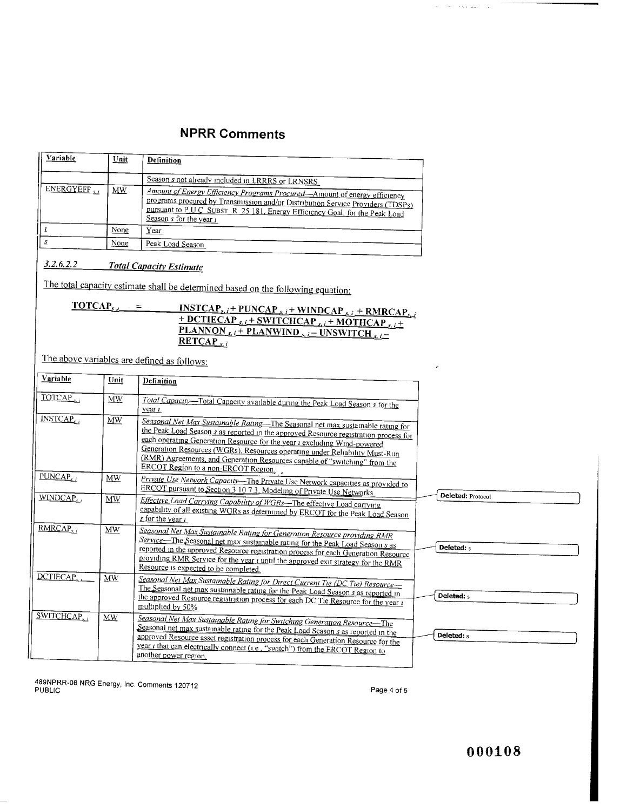| Variable   | Unit | Definition                                                                                                                                                                                                                                                                    |
|------------|------|-------------------------------------------------------------------------------------------------------------------------------------------------------------------------------------------------------------------------------------------------------------------------------|
| ENERGYEFF. | MW   | Season s not already included in LRRRS or LRNSRS                                                                                                                                                                                                                              |
|            |      | Amount of Energy Efficiency Programs Procured—Amount of energy efficiency<br>programs procured by Transmission and/or Distribution Service Providers (TDSPs)<br>pursuant to P U C SUBST, R 25 181, Energy Efficiency Goal, for the Peak Load<br>Season s for the year $\iota$ |
|            | None | Year.                                                                                                                                                                                                                                                                         |
|            | None | Peak Load Season                                                                                                                                                                                                                                                              |

## *3.2.6.2.2 Total Capacitv Estimate*

The total capacity estimate shall be determined based on the following equation:

| TOTCAP <sub>5</sub> | <b>INSTCAP</b> <sub>s, i</sub> + <b>PUNCAP</b> <sub>s, i</sub> + <b>WINDCAP</b> <sub>s, i</sub> + <b>RMRCAP</b> <sub>s, i</sub> |
|---------------------|---------------------------------------------------------------------------------------------------------------------------------|
|                     | $+$ <b>DCTIECAP</b> <sub>si</sub> $+$ <b>SWITCHCAP</b> <sub>si</sub> $+$ <b>MOTHCAP</b> <sub>si</sub> $+$                       |
|                     | <b>PLANNON</b> <sub>s, i</sub> + <b>PLANWIND</b> <sub>s, i</sub> – <b>UNSWITCH</b> <sub>s, i</sub> –                            |
|                     | <b>RETCAP</b>                                                                                                                   |

The above variables are defined as follows:

| Variable               | Unit      | Definition                                                                                                                                                                                                                                                                                                                                                                                                                                                    |                          |
|------------------------|-----------|---------------------------------------------------------------------------------------------------------------------------------------------------------------------------------------------------------------------------------------------------------------------------------------------------------------------------------------------------------------------------------------------------------------------------------------------------------------|--------------------------|
| TOTCAP <sub>s</sub>    | MW        | Total Capacity-Total Capacity available during the Peak Load Season s for the<br>year <i>t</i>                                                                                                                                                                                                                                                                                                                                                                |                          |
| INSTCAP <sub>s/l</sub> | MW        | Seasonal Net Max Sustainable Rating—The Seasonal net max sustainable rating for<br>the Peak Load Season s as reported in the approved Resource registration process for<br>each operating Generation Resource for the year <i>i</i> excluding Wind-powered<br>Generation Resources (WGRs), Resources operating under Reliability Must-Run<br>(RMR) Agreements, and Generation Resources capable of "switching" from the<br>ERCOT Region to a non-ERCOT Region |                          |
| PUNCAP <sub>s1</sub>   | <b>MW</b> | Private Use Network Capacity-The Private Use Network capacities as provided to<br>ERCOT pursuant to Section 3 10 7.3, Modeling of Private Use Networks                                                                                                                                                                                                                                                                                                        |                          |
| WINDCAP.               | MW        | Effective Load Carrying Capability of WGRs—The effective Load carrying<br>capability of all existing WGRs as determined by ERCOT for the Peak Load Season<br>$s$ for the year $i$                                                                                                                                                                                                                                                                             | <b>Deleted: Protocol</b> |
| RMRCAP <sub>s,t</sub>  | <b>MW</b> | Seasonal Net Max Sustainable Rating for Generation Resource providing RMR<br>Service—The Seasonal net max sustainable rating for the Peak Load Season s as<br>reported in the approved Resource registration process for each Generation Resource<br>providing RMR Service for the year <i>i</i> until the approved exit strategy for the RMR<br>Resource is expected to be completed.                                                                        | Deleted: s               |
| DCTIECAP.              | MW        | Seasonal Net Max Sustainable Rating for Direct Current Tie (DC Tie) Resource-<br>The Seasonal net max sustainable rating for the Peak Load Season s as reported in<br>the approved Resource registration process for each DC Tie Resource for the year i<br>multiplied by 50%                                                                                                                                                                                 | Deleted: s               |
| SWITCHCAP,             | MW        | Seasonal Net Max Sustainable Rating for Switching Generation Resource-The<br>Seasonal net max sustainable rating for the Peak Load Season s as reported in the<br>approved Resource asset registration process for each Generation Resource for the<br>year <i>t</i> that can electrically connect (i.e., "switch") from the ERCOT Region to<br>another power region.                                                                                         | Deleted: s               |

489NPRR-08 NRG Energy, Inc Comments 120712 PUBLIC Page 4 of 5

 $\tau_{\rm c}$  , and a second contract  $\tau_{\rm c}$